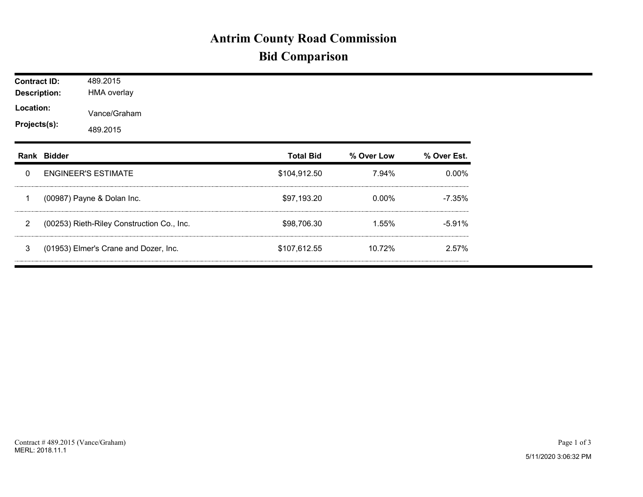## **Antrim County Road Commission Bid Comparison**

| <b>Contract ID:</b><br><b>Description:</b><br>Location:<br>Projects(s): |             | 489.2015<br><b>HMA overlay</b>             |                  |            |             |  |  |  |  |
|-------------------------------------------------------------------------|-------------|--------------------------------------------|------------------|------------|-------------|--|--|--|--|
|                                                                         |             | Vance/Graham<br>489.2015                   |                  |            |             |  |  |  |  |
|                                                                         | Rank Bidder |                                            | <b>Total Bid</b> | % Over Low | % Over Est. |  |  |  |  |
| $\Omega$                                                                |             | <b>ENGINEER'S ESTIMATE</b>                 | \$104,912.50     | 7.94%      | $0.00\%$    |  |  |  |  |
| 1                                                                       |             | (00987) Payne & Dolan Inc.                 | \$97,193.20      | $0.00\%$   | $-7.35%$    |  |  |  |  |
| $\overline{2}$                                                          |             | (00253) Rieth-Riley Construction Co., Inc. | \$98,706.30      |            | $-5.91%$    |  |  |  |  |
| 3                                                                       |             | (01953) Elmer's Crane and Dozer, Inc.      | \$107,612.55     | 10.72%     | 2.57%       |  |  |  |  |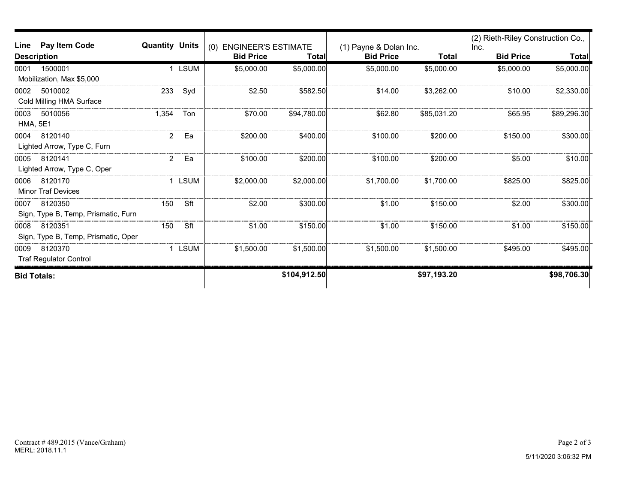| Line               | Pay Item Code<br><b>Quantity Units</b> |                | <b>ENGINEER'S ESTIMATE</b><br>(0) |                  | (1) Payne & Dolan Inc. |                  | (2) Rieth-Riley Construction Co.,<br>Inc. |                  |             |
|--------------------|----------------------------------------|----------------|-----------------------------------|------------------|------------------------|------------------|-------------------------------------------|------------------|-------------|
| <b>Description</b> |                                        |                |                                   | <b>Bid Price</b> | Total                  | <b>Bid Price</b> | <b>Total</b>                              | <b>Bid Price</b> | Total       |
| 0001               | 1500001                                |                | 1 LSUM                            | \$5,000.00       | \$5,000.00             | \$5,000.00       | \$5,000.00]                               | \$5,000.00       | \$5,000.00] |
|                    | Mobilization, Max \$5,000              |                |                                   |                  |                        |                  |                                           |                  |             |
| 0002               | 5010002                                | 233            | Syd                               | \$2.50           | \$582.50               | \$14.00          | \$3,262.00                                | \$10.00          | \$2,330.00  |
|                    | Cold Milling HMA Surface               |                |                                   |                  |                        |                  |                                           |                  |             |
| 0003               | 5010056                                | 1,354          | Ton                               | \$70.00          | \$94,780.00            | \$62.80          | \$85,031.20                               | \$65.95          | \$89,296.30 |
| <b>HMA, 5E1</b>    |                                        |                |                                   |                  |                        |                  |                                           |                  |             |
| 0004               | 8120140                                | $\overline{2}$ | Ea                                | \$200.00         | \$400.00               | \$100.00         | \$200.00                                  | \$150.00         | \$300.00    |
|                    | Lighted Arrow, Type C, Furn            |                |                                   |                  |                        |                  |                                           |                  |             |
| 0005               | 8120141                                | $\overline{a}$ | Ea                                | \$100.00         | \$200.00               | \$100.00         | \$200.00                                  | \$5.00           | \$10.00     |
|                    | Lighted Arrow, Type C, Oper            |                |                                   |                  |                        |                  |                                           |                  |             |
| 0006               | 8120170                                |                | 1 LSUM                            | \$2,000.00       | \$2,000.00]            | \$1,700.00       | \$1,700.00                                | \$825.00         | \$825.00    |
|                    | <b>Minor Traf Devices</b>              |                |                                   |                  |                        |                  |                                           |                  |             |
| 0007               | 8120350                                | 150            | Sft                               | \$2.00           | \$300.00               | \$1.00           | \$150.00                                  | \$2.00           | \$300.00    |
|                    | Sign, Type B, Temp, Prismatic, Furn    |                |                                   |                  |                        |                  |                                           |                  |             |
| 0008               | 8120351                                | 150            | Sft                               | \$1.00           | \$150.00               | \$1.00           | \$150.00                                  | \$1.00           | \$150.00    |
|                    | Sign, Type B, Temp, Prismatic, Oper    |                |                                   |                  |                        |                  |                                           |                  |             |
| 0009               | 8120370                                |                | 1 LSUM                            | \$1,500.00       | \$1,500.00             | \$1,500.00       | \$1,500.00                                | \$495.00         | \$495.00    |
|                    | <b>Traf Regulator Control</b>          |                |                                   |                  |                        |                  |                                           |                  |             |
| <b>Bid Totals:</b> |                                        |                |                                   |                  | \$104,912.50           |                  | \$97,193.20                               |                  | \$98,706.30 |